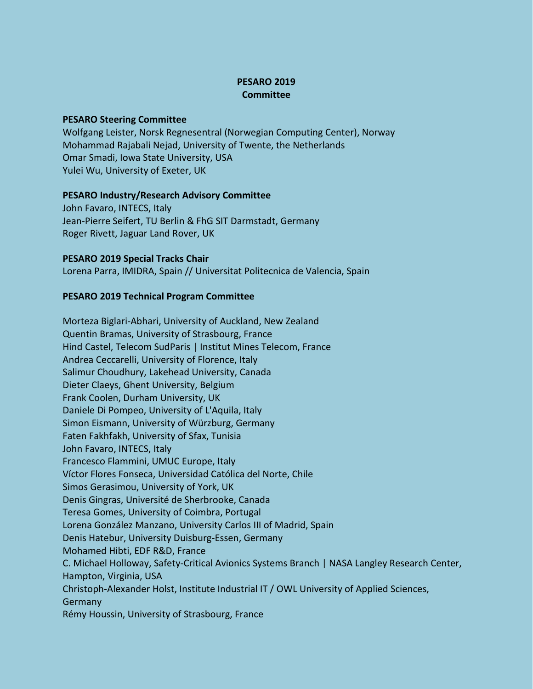# **PESARO 2019 Committee**

### **PESARO Steering Committee**

Wolfgang Leister, Norsk Regnesentral (Norwegian Computing Center), Norway Mohammad Rajabali Nejad, University of Twente, the Netherlands Omar Smadi, Iowa State University, USA Yulei Wu, University of Exeter, UK

#### **PESARO Industry/Research Advisory Committee**

John Favaro, INTECS, Italy Jean-Pierre Seifert, TU Berlin & FhG SIT Darmstadt, Germany Roger Rivett, Jaguar Land Rover, UK

## **PESARO 2019 Special Tracks Chair**

Lorena Parra, IMIDRA, Spain // Universitat Politecnica de Valencia, Spain

## **PESARO 2019 Technical Program Committee**

Morteza Biglari-Abhari, University of Auckland, New Zealand Quentin Bramas, University of Strasbourg, France Hind Castel, Telecom SudParis | Institut Mines Telecom, France Andrea Ceccarelli, University of Florence, Italy Salimur Choudhury, Lakehead University, Canada Dieter Claeys, Ghent University, Belgium Frank Coolen, Durham University, UK Daniele Di Pompeo, University of L'Aquila, Italy Simon Eismann, University of Würzburg, Germany Faten Fakhfakh, University of Sfax, Tunisia John Favaro, INTECS, Italy Francesco Flammini, UMUC Europe, Italy Víctor Flores Fonseca, Universidad Católica del Norte, Chile Simos Gerasimou, University of York, UK Denis Gingras, Université de Sherbrooke, Canada Teresa Gomes, University of Coimbra, Portugal Lorena González Manzano, University Carlos III of Madrid, Spain Denis Hatebur, University Duisburg-Essen, Germany Mohamed Hibti, EDF R&D, France C. Michael Holloway, Safety-Critical Avionics Systems Branch | NASA Langley Research Center, Hampton, Virginia, USA Christoph-Alexander Holst, Institute Industrial IT / OWL University of Applied Sciences, Germany Rémy Houssin, University of Strasbourg, France